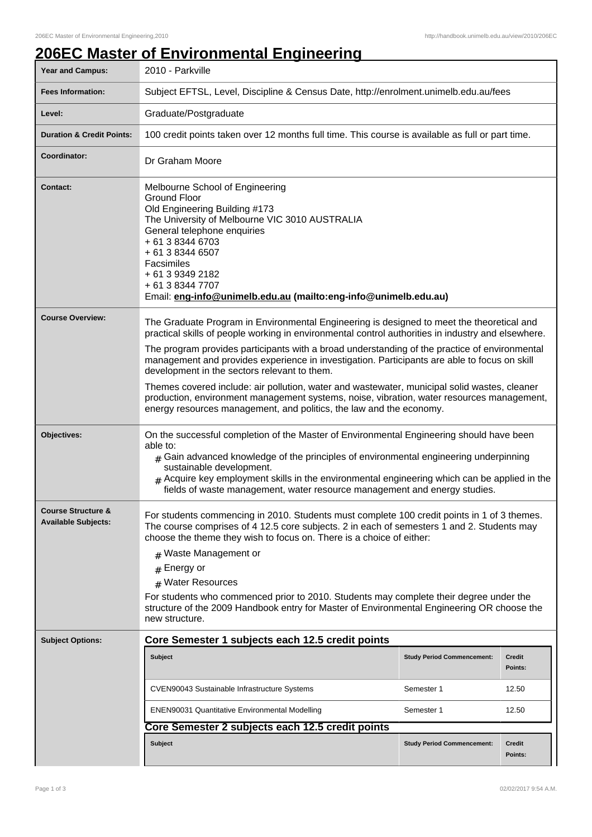## **206EC Master of Environmental Engineering**

| Year and Campus:                                            | 2010 - Parkville                                                                                                                                                                                                                                                                                                                                                                                               |                                   |                          |  |  |
|-------------------------------------------------------------|----------------------------------------------------------------------------------------------------------------------------------------------------------------------------------------------------------------------------------------------------------------------------------------------------------------------------------------------------------------------------------------------------------------|-----------------------------------|--------------------------|--|--|
| <b>Fees Information:</b>                                    | Subject EFTSL, Level, Discipline & Census Date, http://enrolment.unimelb.edu.au/fees                                                                                                                                                                                                                                                                                                                           |                                   |                          |  |  |
| Level:                                                      | Graduate/Postgraduate                                                                                                                                                                                                                                                                                                                                                                                          |                                   |                          |  |  |
| <b>Duration &amp; Credit Points:</b>                        | 100 credit points taken over 12 months full time. This course is available as full or part time.                                                                                                                                                                                                                                                                                                               |                                   |                          |  |  |
| Coordinator:                                                | Dr Graham Moore                                                                                                                                                                                                                                                                                                                                                                                                |                                   |                          |  |  |
| <b>Contact:</b>                                             | Melbourne School of Engineering<br><b>Ground Floor</b><br>Old Engineering Building #173<br>The University of Melbourne VIC 3010 AUSTRALIA<br>General telephone enquiries<br>+ 61 3 8344 6703<br>+ 61 3 8344 6507<br>Facsimiles<br>+ 61 3 9349 2182<br>+ 61 3 8344 7707<br>Email: eng-info@unimelb.edu.au (mailto:eng-info@unimelb.edu.au)                                                                      |                                   |                          |  |  |
| <b>Course Overview:</b>                                     | The Graduate Program in Environmental Engineering is designed to meet the theoretical and                                                                                                                                                                                                                                                                                                                      |                                   |                          |  |  |
|                                                             | practical skills of people working in environmental control authorities in industry and elsewhere.<br>The program provides participants with a broad understanding of the practice of environmental<br>management and provides experience in investigation. Participants are able to focus on skill<br>development in the sectors relevant to them.                                                            |                                   |                          |  |  |
|                                                             | Themes covered include: air pollution, water and wastewater, municipal solid wastes, cleaner<br>production, environment management systems, noise, vibration, water resources management,<br>energy resources management, and politics, the law and the economy.                                                                                                                                               |                                   |                          |  |  |
| Objectives:                                                 | On the successful completion of the Master of Environmental Engineering should have been<br>able to:<br>$_{\#}$ Gain advanced knowledge of the principles of environmental engineering underpinning<br>sustainable development.<br>$#$ Acquire key employment skills in the environmental engineering which can be applied in the<br>fields of waste management, water resource management and energy studies. |                                   |                          |  |  |
| <b>Course Structure &amp;</b><br><b>Available Subjects:</b> | For students commencing in 2010. Students must complete 100 credit points in 1 of 3 themes.<br>The course comprises of 4 12.5 core subjects. 2 in each of semesters 1 and 2. Students may<br>choose the theme they wish to focus on. There is a choice of either:<br># Waste Management or                                                                                                                     |                                   |                          |  |  |
|                                                             | Energy or<br>#<br># Water Resources                                                                                                                                                                                                                                                                                                                                                                            |                                   |                          |  |  |
|                                                             | For students who commenced prior to 2010. Students may complete their degree under the<br>structure of the 2009 Handbook entry for Master of Environmental Engineering OR choose the<br>new structure.                                                                                                                                                                                                         |                                   |                          |  |  |
| <b>Subject Options:</b>                                     | Core Semester 1 subjects each 12.5 credit points                                                                                                                                                                                                                                                                                                                                                               |                                   |                          |  |  |
|                                                             | <b>Subject</b>                                                                                                                                                                                                                                                                                                                                                                                                 | <b>Study Period Commencement:</b> | <b>Credit</b><br>Points: |  |  |
|                                                             | CVEN90043 Sustainable Infrastructure Systems                                                                                                                                                                                                                                                                                                                                                                   | Semester 1                        | 12.50                    |  |  |
|                                                             | <b>ENEN90031 Quantitative Environmental Modelling</b>                                                                                                                                                                                                                                                                                                                                                          | Semester 1                        | 12.50                    |  |  |
|                                                             |                                                                                                                                                                                                                                                                                                                                                                                                                |                                   |                          |  |  |
|                                                             | Subject                                                                                                                                                                                                                                                                                                                                                                                                        | <b>Study Period Commencement:</b> | <b>Credit</b><br>Points: |  |  |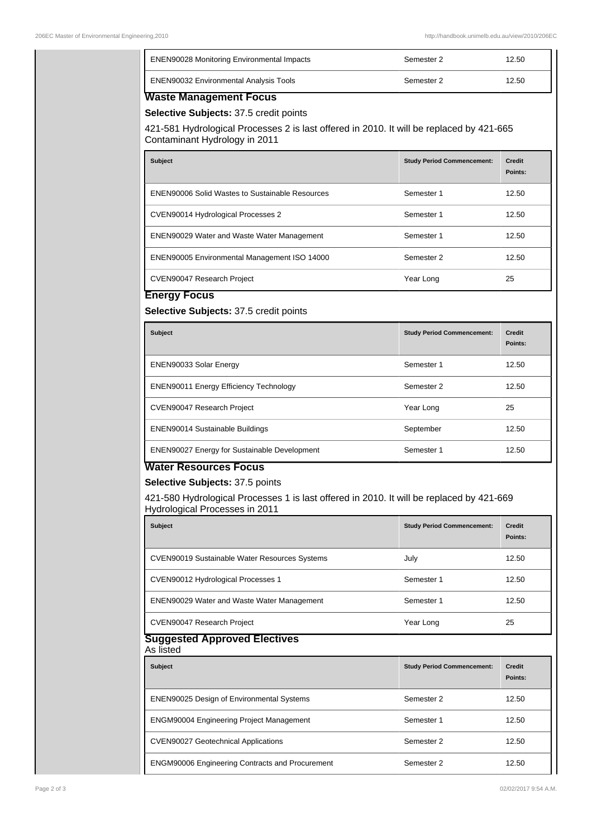| ENEN90028 Monitoring Environmental Impacts                                                                                                                                                               |                                   |                                   |
|----------------------------------------------------------------------------------------------------------------------------------------------------------------------------------------------------------|-----------------------------------|-----------------------------------|
|                                                                                                                                                                                                          | Semester 2                        | 12.50                             |
| ENEN90032 Environmental Analysis Tools                                                                                                                                                                   | Semester 2                        | 12.50                             |
| <b>Waste Management Focus</b><br>Selective Subjects: 37.5 credit points<br>421-581 Hydrological Processes 2 is last offered in 2010. It will be replaced by 421-665<br>Contaminant Hydrology in 2011     |                                   |                                   |
| <b>Subject</b>                                                                                                                                                                                           | <b>Study Period Commencement:</b> | <b>Credit</b><br>Points:          |
| <b>ENEN90006 Solid Wastes to Sustainable Resources</b>                                                                                                                                                   | Semester 1                        | 12.50                             |
| CVEN90014 Hydrological Processes 2                                                                                                                                                                       | Semester 1                        | 12.50                             |
| ENEN90029 Water and Waste Water Management                                                                                                                                                               | Semester 1                        | 12.50                             |
| ENEN90005 Environmental Management ISO 14000                                                                                                                                                             | Semester 2                        | 12.50                             |
| CVEN90047 Research Project                                                                                                                                                                               | Year Long                         | 25                                |
| Selective Subjects: 37.5 credit points<br><b>Subject</b>                                                                                                                                                 | <b>Study Period Commencement:</b> | <b>Credit</b><br>Points:          |
| ENEN90033 Solar Energy                                                                                                                                                                                   | Semester 1                        | 12.50                             |
| <b>ENEN90011 Energy Efficiency Technology</b>                                                                                                                                                            | Semester 2                        | 12.50                             |
| CVEN90047 Research Project                                                                                                                                                                               | Year Long                         | 25                                |
|                                                                                                                                                                                                          |                                   |                                   |
| ENEN90014 Sustainable Buildings                                                                                                                                                                          | September                         | 12.50                             |
| ENEN90027 Energy for Sustainable Development                                                                                                                                                             | Semester 1                        |                                   |
| <b>Water Resources Focus</b><br>Selective Subjects: 37.5 points<br>421-580 Hydrological Processes 1 is last offered in 2010. It will be replaced by 421-669<br>Hydrological Processes in 2011<br>Subject | <b>Study Period Commencement:</b> | 12.50<br><b>Credit</b><br>Points: |
| CVEN90019 Sustainable Water Resources Systems                                                                                                                                                            | July                              |                                   |
| CVEN90012 Hydrological Processes 1                                                                                                                                                                       | Semester 1                        | 12.50<br>12.50                    |
| ENEN90029 Water and Waste Water Management                                                                                                                                                               | Semester 1                        | 12.50                             |
| CVEN90047 Research Project                                                                                                                                                                               | Year Long                         | 25                                |
| <b>Suggested Approved Electives</b><br>As listed                                                                                                                                                         |                                   |                                   |
| <b>Subject</b>                                                                                                                                                                                           | <b>Study Period Commencement:</b> | <b>Credit</b><br>Points:          |
| <b>ENEN90025 Design of Environmental Systems</b>                                                                                                                                                         | Semester 2                        | 12.50                             |
| <b>ENGM90004 Engineering Project Management</b>                                                                                                                                                          | Semester 1                        | 12.50                             |
| <b>CVEN90027 Geotechnical Applications</b>                                                                                                                                                               | Semester 2                        | 12.50                             |